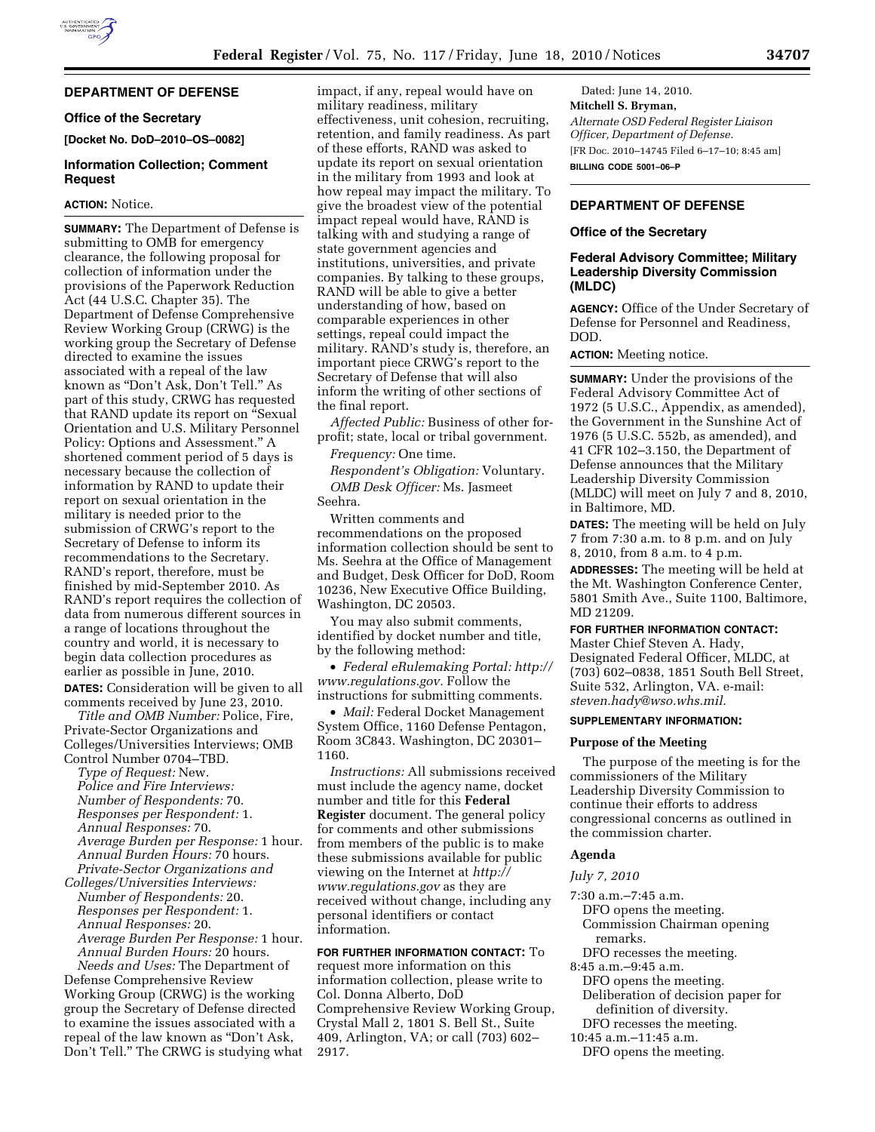# **DEPARTMENT OF DEFENSE**

### **Office of the Secretary**

**[Docket No. DoD–2010–OS–0082]** 

### **Information Collection; Comment Request**

### **ACTION:** Notice.

**SUMMARY:** The Department of Defense is submitting to OMB for emergency clearance, the following proposal for collection of information under the provisions of the Paperwork Reduction Act (44 U.S.C. Chapter 35). The Department of Defense Comprehensive Review Working Group (CRWG) is the working group the Secretary of Defense directed to examine the issues associated with a repeal of the law known as ''Don't Ask, Don't Tell.'' As part of this study, CRWG has requested that RAND update its report on ''Sexual Orientation and U.S. Military Personnel Policy: Options and Assessment.'' A shortened comment period of 5 days is necessary because the collection of information by RAND to update their report on sexual orientation in the military is needed prior to the submission of CRWG's report to the Secretary of Defense to inform its recommendations to the Secretary. RAND's report, therefore, must be finished by mid-September 2010. As RAND's report requires the collection of data from numerous different sources in a range of locations throughout the country and world, it is necessary to begin data collection procedures as earlier as possible in June, 2010. **DATES:** Consideration will be given to all comments received by June 23, 2010.

*Title and OMB Number:* Police, Fire, Private-Sector Organizations and Colleges/Universities Interviews; OMB Control Number 0704–TBD.

*Type of Request:* New. *Police and Fire Interviews: Number of Respondents:* 70. *Responses per Respondent:* 1. *Annual Responses:* 70. *Average Burden per Response:* 1 hour. *Annual Burden Hours:* 70 hours. *Private-Sector Organizations and* 

*Colleges/Universities Interviews: Number of Respondents:* 20. *Responses per Respondent:* 1. *Annual Responses:* 20. *Average Burden Per Response:* 1 hour. *Annual Burden Hours:* 20 hours. *Needs and Uses:* The Department of

Defense Comprehensive Review Working Group (CRWG) is the working group the Secretary of Defense directed to examine the issues associated with a repeal of the law known as ''Don't Ask, Don't Tell.'' The CRWG is studying what

impact, if any, repeal would have on military readiness, military effectiveness, unit cohesion, recruiting, retention, and family readiness. As part of these efforts, RAND was asked to update its report on sexual orientation in the military from 1993 and look at how repeal may impact the military. To give the broadest view of the potential impact repeal would have, RAND is talking with and studying a range of state government agencies and institutions, universities, and private companies. By talking to these groups, RAND will be able to give a better understanding of how, based on comparable experiences in other settings, repeal could impact the military. RAND's study is, therefore, an important piece CRWG's report to the Secretary of Defense that will also inform the writing of other sections of the final report.

*Affected Public:* Business of other forprofit; state, local or tribal government.

*Frequency:* One time.

*Respondent's Obligation:* Voluntary. *OMB Desk Officer:* Ms. Jasmeet Seehra.

Written comments and recommendations on the proposed information collection should be sent to Ms. Seehra at the Office of Management and Budget, Desk Officer for DoD, Room 10236, New Executive Office Building, Washington, DC 20503.

You may also submit comments, identified by docket number and title, by the following method:

• *Federal eRulemaking Portal: http:// www.regulations.gov.* Follow the instructions for submitting comments.

• *Mail:* Federal Docket Management System Office, 1160 Defense Pentagon, Room 3C843. Washington, DC 20301– 1160.

*Instructions:* All submissions received must include the agency name, docket number and title for this **Federal Register** document. The general policy for comments and other submissions from members of the public is to make these submissions available for public viewing on the Internet at *http:// www.regulations.gov* as they are received without change, including any personal identifiers or contact information.

**FOR FURTHER INFORMATION CONTACT:** To request more information on this information collection, please write to Col. Donna Alberto, DoD Comprehensive Review Working Group, Crystal Mall 2, 1801 S. Bell St., Suite 409, Arlington, VA; or call (703) 602– 2917.

Dated: June 14, 2010. **Mitchell S. Bryman,**  *Alternate OSD Federal Register Liaison Officer, Department of Defense.*  [FR Doc. 2010–14745 Filed 6–17–10; 8:45 am] **BILLING CODE 5001–06–P** 

## **DEPARTMENT OF DEFENSE**

#### **Office of the Secretary**

### **Federal Advisory Committee; Military Leadership Diversity Commission (MLDC)**

**AGENCY:** Office of the Under Secretary of Defense for Personnel and Readiness, DOD.

**ACTION:** Meeting notice.

**SUMMARY:** Under the provisions of the Federal Advisory Committee Act of 1972 (5 U.S.C., Appendix, as amended), the Government in the Sunshine Act of 1976 (5 U.S.C. 552b, as amended), and 41 CFR 102–3.150, the Department of Defense announces that the Military Leadership Diversity Commission (MLDC) will meet on July 7 and 8, 2010, in Baltimore, MD.

**DATES:** The meeting will be held on July 7 from 7:30 a.m. to 8 p.m. and on July 8, 2010, from 8 a.m. to 4 p.m.

**ADDRESSES:** The meeting will be held at the Mt. Washington Conference Center, 5801 Smith Ave., Suite 1100, Baltimore, MD 21209.

#### **FOR FURTHER INFORMATION CONTACT:**

Master Chief Steven A. Hady, Designated Federal Officer, MLDC, at (703) 602–0838, 1851 South Bell Street, Suite 532, Arlington, VA. e-mail: *steven.hady@wso.whs.mil.* 

#### **SUPPLEMENTARY INFORMATION:**

#### **Purpose of the Meeting**

The purpose of the meeting is for the commissioners of the Military Leadership Diversity Commission to continue their efforts to address congressional concerns as outlined in the commission charter.

### **Agenda**

#### *July 7, 2010*

- 7:30 a.m.–7:45 a.m.
	- DFO opens the meeting. Commission Chairman opening remarks.
- DFO recesses the meeting.
- 8:45 a.m.–9:45 a.m.
- DFO opens the meeting.
- Deliberation of decision paper for definition of diversity.
- DFO recesses the meeting.

10:45 a.m.–11:45 a.m. DFO opens the meeting.